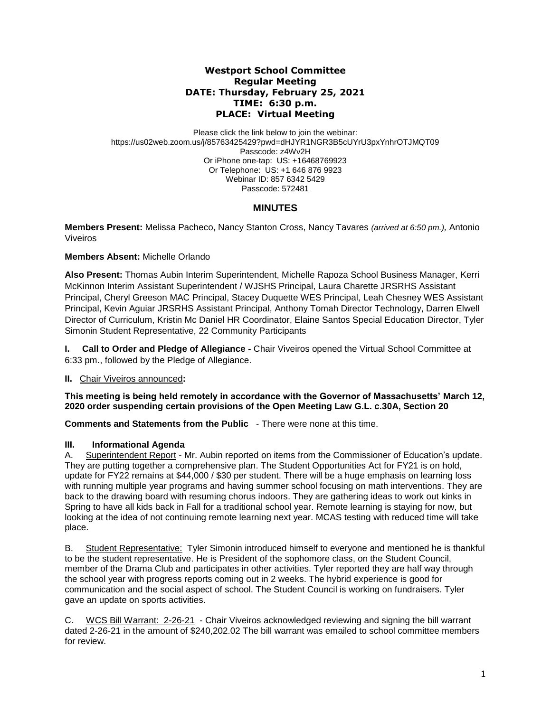## **Westport School Committee Regular Meeting DATE: Thursday, February 25, 2021 TIME: 6:30 p.m. PLACE: Virtual Meeting**

Please click the link below to join the webinar: https://us02web.zoom.us/j/85763425429?pwd=dHJYR1NGR3B5cUYrU3pxYnhrOTJMQT09 Passcode: z4Wv2H Or iPhone one-tap: US: +16468769923 Or Telephone: US: +1 646 876 9923 Webinar ID: 857 6342 5429 Passcode: 572481

# **MINUTES**

**Members Present:** Melissa Pacheco, Nancy Stanton Cross, Nancy Tavares *(arrived at 6:50 pm.),* Antonio Viveiros

## **Members Absent:** Michelle Orlando

**Also Present:** Thomas Aubin Interim Superintendent, Michelle Rapoza School Business Manager, Kerri McKinnon Interim Assistant Superintendent / WJSHS Principal, Laura Charette JRSRHS Assistant Principal, Cheryl Greeson MAC Principal, Stacey Duquette WES Principal, Leah Chesney WES Assistant Principal, Kevin Aguiar JRSRHS Assistant Principal, Anthony Tomah Director Technology, Darren Elwell Director of Curriculum, Kristin Mc Daniel HR Coordinator, Elaine Santos Special Education Director, Tyler Simonin Student Representative, 22 Community Participants

**I. Call to Order and Pledge of Allegiance -** Chair Viveiros opened the Virtual School Committee at 6:33 pm., followed by the Pledge of Allegiance.

## **II.** Chair Viveiros announced**:**

**This meeting is being held remotely in accordance with the Governor of Massachusetts' March 12, 2020 order suspending certain provisions of the Open Meeting Law G.L. c.30A, Section 20**

**Comments and Statements from the Public** - There were none at this time.

# **III. Informational Agenda**

A. Superintendent Report - Mr. Aubin reported on items from the Commissioner of Education's update. They are putting together a comprehensive plan. The Student Opportunities Act for FY21 is on hold, update for FY22 remains at \$44,000 / \$30 per student. There will be a huge emphasis on learning loss with running multiple year programs and having summer school focusing on math interventions. They are back to the drawing board with resuming chorus indoors. They are gathering ideas to work out kinks in Spring to have all kids back in Fall for a traditional school year. Remote learning is staying for now, but looking at the idea of not continuing remote learning next year. MCAS testing with reduced time will take place.

B. Student Representative: Tyler Simonin introduced himself to everyone and mentioned he is thankful to be the student representative. He is President of the sophomore class, on the Student Council, member of the Drama Club and participates in other activities. Tyler reported they are half way through the school year with progress reports coming out in 2 weeks. The hybrid experience is good for communication and the social aspect of school. The Student Council is working on fundraisers. Tyler gave an update on sports activities.

C. WCS Bill Warrant: 2-26-21 - Chair Viveiros acknowledged reviewing and signing the bill warrant dated 2-26-21 in the amount of \$240,202.02 The bill warrant was emailed to school committee members for review.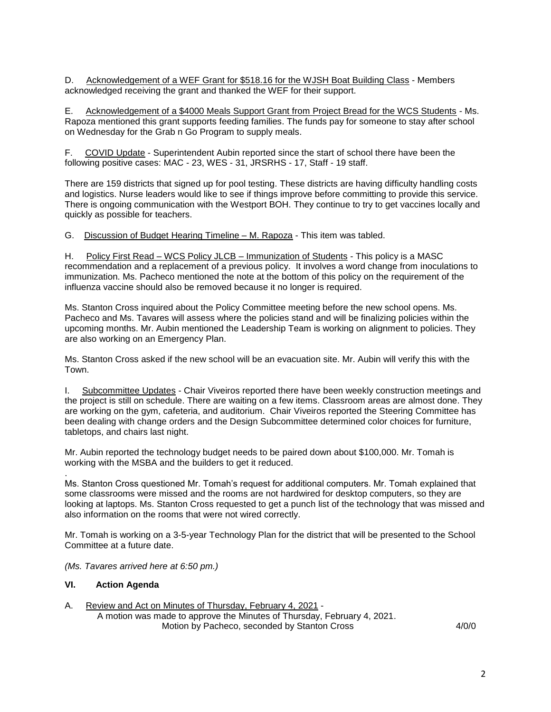D. Acknowledgement of a WEF Grant for \$518.16 for the WJSH Boat Building Class - Members acknowledged receiving the grant and thanked the WEF for their support.

E. Acknowledgement of a \$4000 Meals Support Grant from Project Bread for the WCS Students - Ms. Rapoza mentioned this grant supports feeding families. The funds pay for someone to stay after school on Wednesday for the Grab n Go Program to supply meals.

F. COVID Update - Superintendent Aubin reported since the start of school there have been the following positive cases: MAC - 23, WES - 31, JRSRHS - 17, Staff - 19 staff.

There are 159 districts that signed up for pool testing. These districts are having difficulty handling costs and logistics. Nurse leaders would like to see if things improve before committing to provide this service. There is ongoing communication with the Westport BOH. They continue to try to get vaccines locally and quickly as possible for teachers.

G. Discussion of Budget Hearing Timeline – M. Rapoza - This item was tabled.

H. Policy First Read – WCS Policy JLCB – Immunization of Students - This policy is a MASC recommendation and a replacement of a previous policy. It involves a word change from inoculations to immunization. Ms. Pacheco mentioned the note at the bottom of this policy on the requirement of the influenza vaccine should also be removed because it no longer is required.

Ms. Stanton Cross inquired about the Policy Committee meeting before the new school opens. Ms. Pacheco and Ms. Tavares will assess where the policies stand and will be finalizing policies within the upcoming months. Mr. Aubin mentioned the Leadership Team is working on alignment to policies. They are also working on an Emergency Plan.

Ms. Stanton Cross asked if the new school will be an evacuation site. Mr. Aubin will verify this with the Town.

I. Subcommittee Updates - Chair Viveiros reported there have been weekly construction meetings and the project is still on schedule. There are waiting on a few items. Classroom areas are almost done. They are working on the gym, cafeteria, and auditorium. Chair Viveiros reported the Steering Committee has been dealing with change orders and the Design Subcommittee determined color choices for furniture, tabletops, and chairs last night.

Mr. Aubin reported the technology budget needs to be paired down about \$100,000. Mr. Tomah is working with the MSBA and the builders to get it reduced.

Ms. Stanton Cross questioned Mr. Tomah's request for additional computers. Mr. Tomah explained that some classrooms were missed and the rooms are not hardwired for desktop computers, so they are looking at laptops. Ms. Stanton Cross requested to get a punch list of the technology that was missed and also information on the rooms that were not wired correctly.

Mr. Tomah is working on a 3-5-year Technology Plan for the district that will be presented to the School Committee at a future date.

*(Ms. Tavares arrived here at 6:50 pm.)*

#### **VI. Action Agenda**

.

A. Review and Act on Minutes of Thursday, February 4, 2021 - A motion was made to approve the Minutes of Thursday, February 4, 2021. Motion by Pacheco, seconded by Stanton Cross  $4/0/0$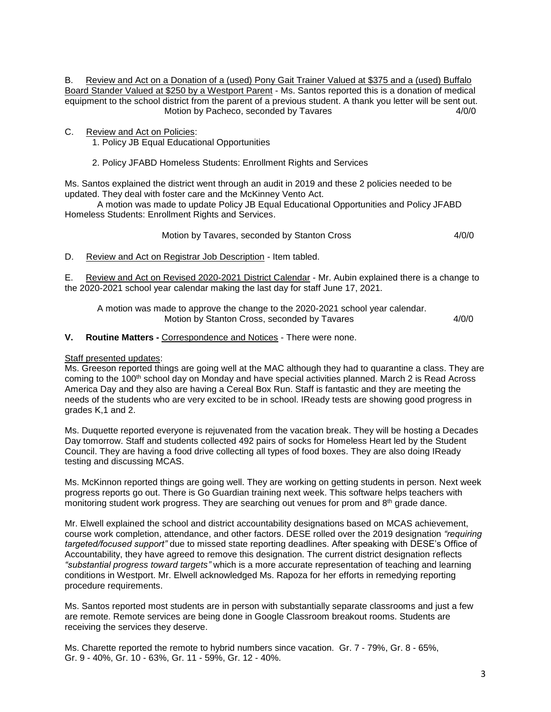B. Review and Act on a Donation of a (used) Pony Gait Trainer Valued at \$375 and a (used) Buffalo Board Stander Valued at \$250 by a Westport Parent - Ms. Santos reported this is a donation of medical equipment to the school district from the parent of a previous student. A thank you letter will be sent out. Motion by Pacheco, seconded by Tavares 4/0/0

C. Review and Act on Policies:

1. Policy JB Equal Educational Opportunities

2. Policy JFABD Homeless Students: Enrollment Rights and Services

Ms. Santos explained the district went through an audit in 2019 and these 2 policies needed to be updated. They deal with foster care and the McKinney Vento Act.

A motion was made to update Policy JB Equal Educational Opportunities and Policy JFABD Homeless Students: Enrollment Rights and Services.

Motion by Tavares, seconded by Stanton Cross 4/0/0

D. Review and Act on Registrar Job Description - Item tabled.

E. Review and Act on Revised 2020-2021 District Calendar - Mr. Aubin explained there is a change to the 2020-2021 school year calendar making the last day for staff June 17, 2021.

A motion was made to approve the change to the 2020-2021 school year calendar. Motion by Stanton Cross, seconded by Tavares 4/0/0

#### **V. Routine Matters -** Correspondence and Notices - There were none.

#### Staff presented updates:

Ms. Greeson reported things are going well at the MAC although they had to quarantine a class. They are coming to the 100<sup>th</sup> school day on Monday and have special activities planned. March 2 is Read Across America Day and they also are having a Cereal Box Run. Staff is fantastic and they are meeting the needs of the students who are very excited to be in school. IReady tests are showing good progress in grades K,1 and 2.

Ms. Duquette reported everyone is rejuvenated from the vacation break. They will be hosting a Decades Day tomorrow. Staff and students collected 492 pairs of socks for Homeless Heart led by the Student Council. They are having a food drive collecting all types of food boxes. They are also doing IReady testing and discussing MCAS.

Ms. McKinnon reported things are going well. They are working on getting students in person. Next week progress reports go out. There is Go Guardian training next week. This software helps teachers with monitoring student work progress. They are searching out venues for prom and  $8<sup>th</sup>$  grade dance.

Mr. Elwell explained the school and district accountability designations based on MCAS achievement, course work completion, attendance, and other factors. DESE rolled over the 2019 designation *"requiring targeted/focused support"* due to missed state reporting deadlines. After speaking with DESE's Office of Accountability, they have agreed to remove this designation. The current district designation reflects *"substantial progress toward targets"* which is a more accurate representation of teaching and learning conditions in Westport. Mr. Elwell acknowledged Ms. Rapoza for her efforts in remedying reporting procedure requirements.

Ms. Santos reported most students are in person with substantially separate classrooms and just a few are remote. Remote services are being done in Google Classroom breakout rooms. Students are receiving the services they deserve.

Ms. Charette reported the remote to hybrid numbers since vacation. Gr. 7 - 79%, Gr. 8 - 65%, Gr. 9 - 40%, Gr. 10 - 63%, Gr. 11 - 59%, Gr. 12 - 40%.